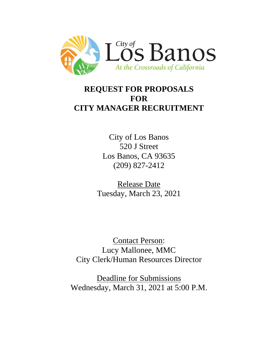

# **REQUEST FOR PROPOSALS FOR CITY MANAGER RECRUITMENT**

City of Los Banos 520 J Street Los Banos, CA 93635 (209) 827-2412

Release Date Tuesday, March 23, 2021

Contact Person: Lucy Mallonee, MMC City Clerk/Human Resources Director

Deadline for Submissions Wednesday, March 31, 2021 at 5:00 P.M.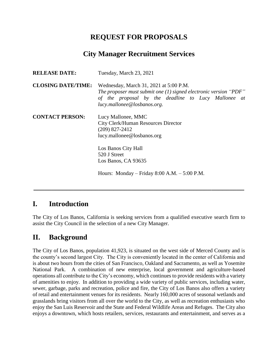## **REQUEST FOR PROPOSALS**

### **City Manager Recruitment Services**

| <b>RELEASE DATE:</b>      | Tuesday, March 23, 2021                                                                                                                                                                            |
|---------------------------|----------------------------------------------------------------------------------------------------------------------------------------------------------------------------------------------------|
| <b>CLOSING DATE/TIME:</b> | Wednesday, March 31, 2021 at 5:00 P.M.<br>The proposer must submit one $(1)$ signed electronic version "PDF"<br>of the proposal by the deadline to Lucy Mallonee at<br>lucy.mallonee@losbanos.org. |
| <b>CONTACT PERSON:</b>    | Lucy Mallonee, MMC<br><b>City Clerk/Human Resources Director</b><br>$(209)$ 827-2412<br>lucy.mallonee@losbanos.org                                                                                 |
|                           | Los Banos City Hall<br>520 J Street<br>Los Banos, CA 93635                                                                                                                                         |
|                           | Hours: Monday – Friday 8:00 A.M. – $5:00$ P.M.                                                                                                                                                     |

#### **I. Introduction**

The City of Los Banos, California is seeking services from a qualified executive search firm to assist the City Council in the selection of a new City Manager.

**\_\_\_\_\_\_\_\_\_\_\_\_\_\_\_\_\_\_\_\_\_\_\_\_\_\_\_\_\_\_\_\_\_\_\_\_\_\_\_\_\_\_\_\_\_\_\_\_\_\_\_\_\_\_\_\_\_\_**

#### **II. Background**

The City of Los Banos, population 41,923, is situated on the west side of Merced County and is the county's second largest City. The City is conveniently located in the center of California and is about two hours from the cities of San Francisco, Oakland and Sacramento, as well as Yosemite National Park. A combination of new enterprise, local government and agriculture-based operations all contribute to the City's economy, which continues to provide residents with a variety of amenities to enjoy. In addition to providing a wide variety of public services, including water, sewer, garbage, parks and recreation, police and fire, the City of Los Banos also offers a variety of retail and entertainment venues for its residents. Nearly 160,000 acres of seasonal wetlands and grasslands bring visitors from all over the world to the City, as well as recreation enthusiasts who enjoy the San Luis Reservoir and the State and Federal Wildlife Areas and Refuges. The City also enjoys a downtown, which hosts retailers, services, restaurants and entertainment, and serves as a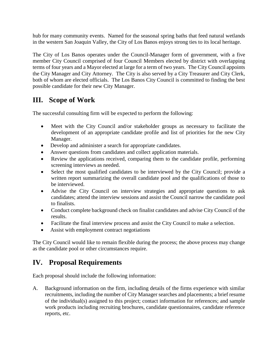hub for many community events. Named for the seasonal spring baths that feed natural wetlands in the western San Joaquin Valley, the City of Los Banos enjoys strong ties to its local heritage.

The City of Los Banos operates under the Council-Manager form of government, with a five member City Council comprised of four Council Members elected by district with overlapping terms of four years and a Mayor elected at large for a term of two years. The City Council appoints the City Manager and City Attorney. The City is also served by a City Treasurer and City Clerk, both of whom are elected officials. The Los Banos City Council is committed to finding the best possible candidate for their new City Manager.

# **III. Scope of Work**

The successful consulting firm will be expected to perform the following:

- Meet with the City Council and/or stakeholder groups as necessary to facilitate the development of an appropriate candidate profile and list of priorities for the new City Manager.
- Develop and administer a search for appropriate candidates.
- Answer questions from candidates and collect application materials.
- Review the applications received, comparing them to the candidate profile, performing screening interviews as needed.
- Select the most qualified candidates to be interviewed by the City Council; provide a written report summarizing the overall candidate pool and the qualifications of those to be interviewed.
- Advise the City Council on interview strategies and appropriate questions to ask candidates; attend the interview sessions and assist the Council narrow the candidate pool to finalists.
- Conduct complete background check on finalist candidates and advise City Council of the results.
- Facilitate the final interview process and assist the City Council to make a selection.
- Assist with employment contract negotiations

The City Council would like to remain flexible during the process; the above process may change as the candidate pool or other circumstances require.

# **IV. Proposal Requirements**

Each proposal should include the following information:

A. Background information on the firm, including details of the firms experience with similar recruitments, including the number of City Manager searches and placements; a brief resume of the individual(s) assigned to this project; contact information for references; and sample work products including recruiting brochures, candidate questionnaires, candidate reference reports, etc.